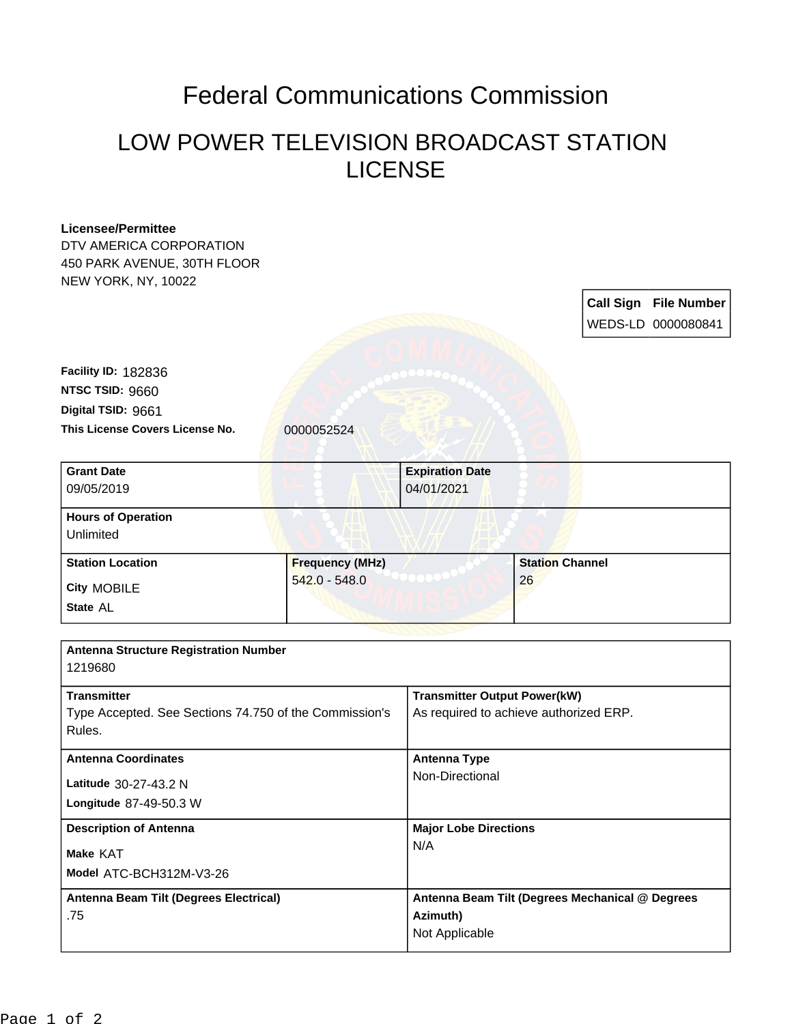## Federal Communications Commission

## LOW POWER TELEVISION BROADCAST STATION LICENSE

| <b>Licensee/Permittee</b>                              |                        |                                                                               |                        |  |                              |
|--------------------------------------------------------|------------------------|-------------------------------------------------------------------------------|------------------------|--|------------------------------|
| DTV AMERICA CORPORATION                                |                        |                                                                               |                        |  |                              |
| 450 PARK AVENUE, 30TH FLOOR                            |                        |                                                                               |                        |  |                              |
| NEW YORK, NY, 10022                                    |                        |                                                                               |                        |  |                              |
|                                                        |                        |                                                                               |                        |  | <b>Call Sign File Number</b> |
|                                                        |                        |                                                                               |                        |  | WEDS-LD 0000080841           |
|                                                        |                        |                                                                               |                        |  |                              |
|                                                        |                        |                                                                               |                        |  |                              |
| Facility ID: 182836                                    |                        |                                                                               |                        |  |                              |
| NTSC TSID: 9660                                        |                        |                                                                               |                        |  |                              |
| Digital TSID: 9661                                     |                        |                                                                               |                        |  |                              |
| This License Covers License No.                        | 0000052524             |                                                                               |                        |  |                              |
| <b>Grant Date</b>                                      |                        | <b>Expiration Date</b>                                                        |                        |  |                              |
| 09/05/2019                                             |                        | 04/01/2021                                                                    |                        |  |                              |
| <b>Hours of Operation</b>                              |                        |                                                                               |                        |  |                              |
| Unlimited                                              |                        |                                                                               |                        |  |                              |
| <b>Station Location</b>                                | <b>Frequency (MHz)</b> |                                                                               | <b>Station Channel</b> |  |                              |
| <b>City MOBILE</b>                                     | $542.0 - 548.0$        |                                                                               | 26                     |  |                              |
| State AL                                               |                        |                                                                               |                        |  |                              |
|                                                        |                        |                                                                               |                        |  |                              |
| <b>Antenna Structure Registration Number</b>           |                        |                                                                               |                        |  |                              |
| 1219680                                                |                        |                                                                               |                        |  |                              |
| <b>Transmitter</b>                                     |                        |                                                                               |                        |  |                              |
| Type Accepted. See Sections 74.750 of the Commission's |                        | <b>Transmitter Output Power(kW)</b><br>As required to achieve authorized ERP. |                        |  |                              |
| Rules.                                                 |                        |                                                                               |                        |  |                              |
| <b>Antenna Coordinates</b>                             |                        | <b>Antenna Type</b>                                                           |                        |  |                              |
|                                                        |                        | Non-Directional                                                               |                        |  |                              |
| Latitude 30-27-43.2 N                                  |                        |                                                                               |                        |  |                              |
| Longitude 87-49-50.3 W                                 |                        |                                                                               |                        |  |                              |
| <b>Description of Antenna</b><br>Make KAT              |                        | <b>Major Lobe Directions</b>                                                  |                        |  |                              |
|                                                        |                        | N/A                                                                           |                        |  |                              |
| Model ATC-BCH312M-V3-26                                |                        |                                                                               |                        |  |                              |
| Antenna Beam Tilt (Degrees Electrical)                 |                        | Antenna Beam Tilt (Degrees Mechanical @ Degrees                               |                        |  |                              |
| .75                                                    |                        | Azimuth)<br>Not Applicable                                                    |                        |  |                              |
|                                                        |                        |                                                                               |                        |  |                              |